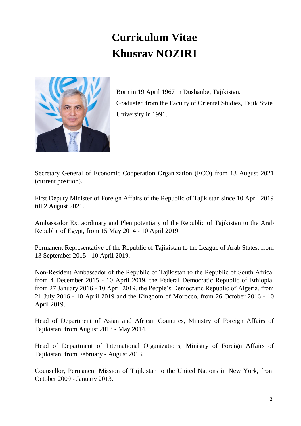## **Curriculum Vitae Khusrav NOZIRI**



Born in 19 April 1967 in Dushanbe, Tajikistan. Graduated from the Faculty of Oriental Studies, Tajik State University in 1991.

Secretary General of Economic Cooperation Organization (ECO) from 13 August 2021 (current position).

First Deputy Minister of Foreign Affairs of the Republic of Tajikistan since 10 April 2019 till 2 August 2021.

Ambassador Extraordinary and Plenipotentiary of the Republic of Tajikistan to the Arab Republic of Egypt, from 15 May 2014 - 10 April 2019.

Permanent Representative of the Republic of Tajikistan to the League of Arab States, from 13 September 2015 - 10 April 2019.

Non-Resident Ambassador of the Republic of Tajikistan to the Republic of South Africa, from 4 December 2015 - 10 April 2019, the Federal Democratic Republic of Ethiopia, from 27 January 2016 - 10 April 2019, the People's Democratic Republic of Algeria, from 21 July 2016 - 10 April 2019 and the Kingdom of Morocco, from 26 October 2016 - 10 April 2019.

Head of Department of Asian and African Countries, Ministry of Foreign Affairs of Tajikistan, from August 2013 - May 2014.

Head of Department of International Organizations, Ministry of Foreign Affairs of Tajikistan, from February - August 2013.

Counsellor, Permanent Mission of Tajikistan to the United Nations in New York, from October 2009 - January 2013.